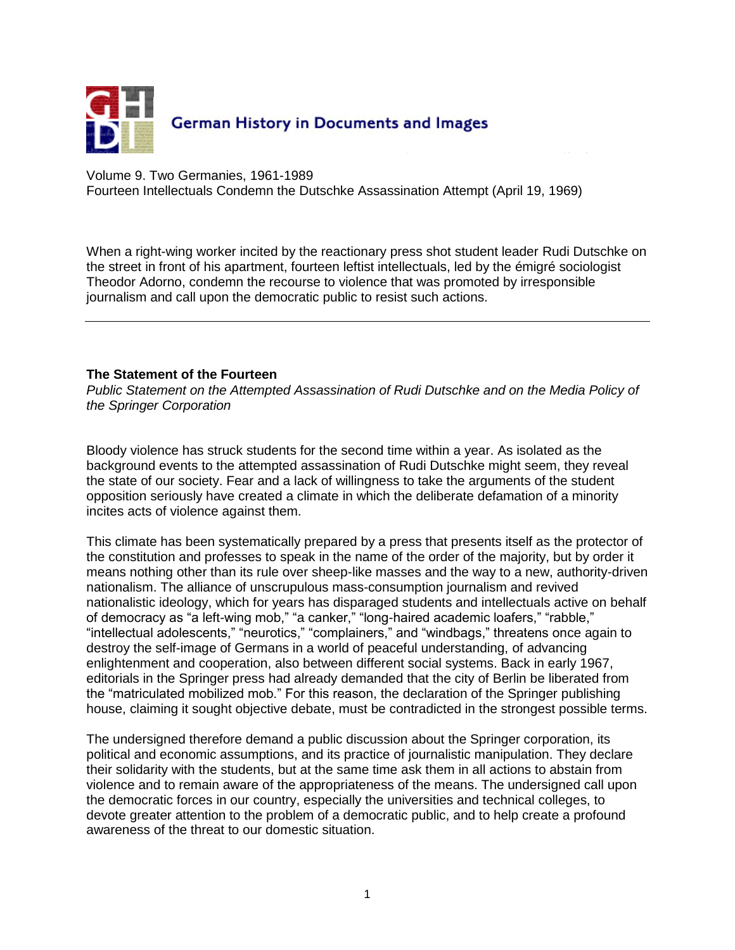

Volume 9. Two Germanies, 1961-1989

Fourteen Intellectuals Condemn the Dutschke Assassination Attempt (April 19, 1969)

When a right-wing worker incited by the reactionary press shot student leader [Rudi Dutschke](javascript:bioinfo(22)) on the street in front of his apartment, fourteen leftist intellectuals, led by the émigré sociologist [Theodor Adorno,](javascript:bioinfo(3)) condemn the recourse to violence that was promoted by irresponsible journalism and call upon the democratic public to resist such actions.

## **The Statement of the Fourteen**

*Public Statement on the Attempted Assassination of Rudi Dutschke and on the Media Policy of the Springer Corporation*

Bloody violence has struck students for the second time within a year. As isolated as the background events to the attempted assassination of Rudi Dutschke might seem, they reveal the state of our society. Fear and a lack of willingness to take the arguments of the student opposition seriously have created a climate in which the deliberate defamation of a minority incites acts of violence against them.

This climate has been systematically prepared by a press that presents itself as the protector of the constitution and professes to speak in the name of the order of the majority, but by order it means nothing other than its rule over sheep-like masses and the way to a new, authority-driven nationalism. The alliance of unscrupulous mass-consumption journalism and revived nationalistic ideology, which for years has disparaged students and intellectuals active on behalf of democracy as "a left-wing mob," "a canker," "long-haired academic loafers," "rabble," "intellectual adolescents," "neurotics," "complainers," and "windbags," threatens once again to destroy the self-image of Germans in a world of peaceful understanding, of advancing enlightenment and cooperation, also between different social systems. Back in early 1967, editorials in the Springer press had already demanded that the city of Berlin be liberated from the "matriculated mobilized mob." For this reason, the declaration of the Springer publishing house, claiming it sought objective debate, must be contradicted in the strongest possible terms.

The undersigned therefore demand a public discussion about the Springer corporation, its political and economic assumptions, and its practice of journalistic manipulation. They declare their solidarity with the students, but at the same time ask them in all actions to abstain from violence and to remain aware of the appropriateness of the means. The undersigned call upon the democratic forces in our country, especially the universities and technical colleges, to devote greater attention to the problem of a democratic public, and to help create a profound awareness of the threat to our domestic situation.